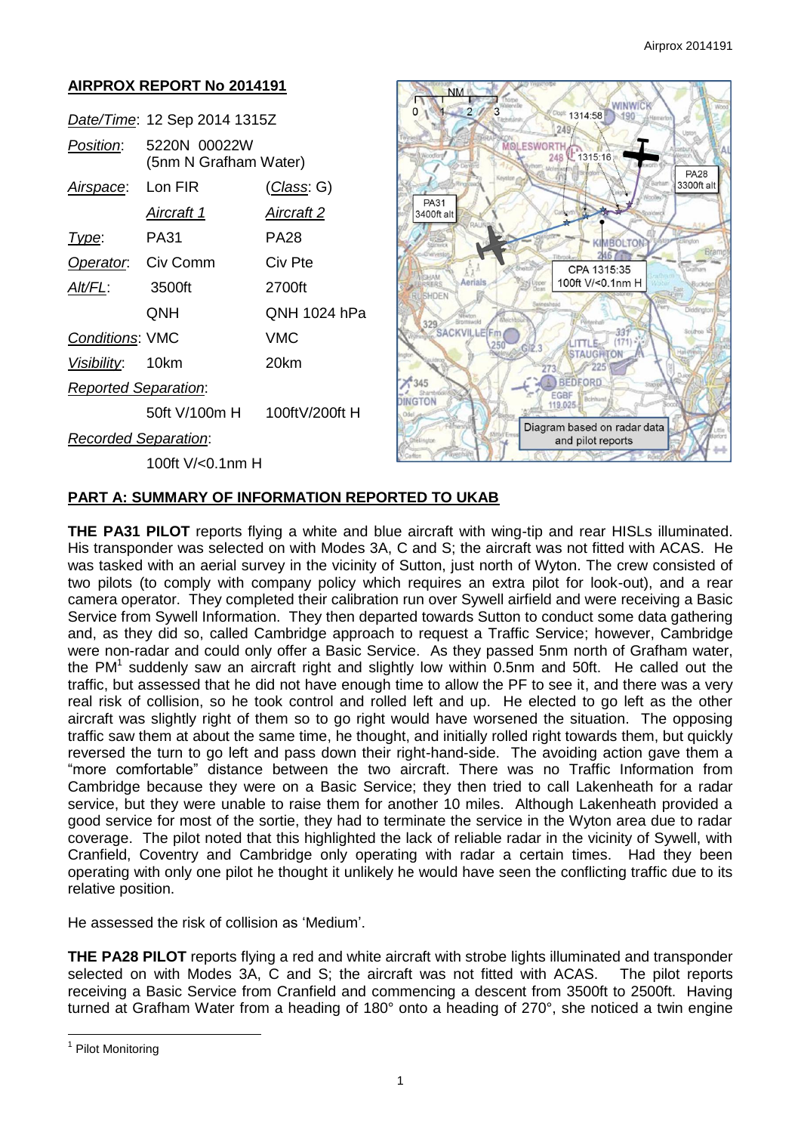#### **AIRPROX REPORT No 2014191 WINWIC**  $\Omega$  $\overline{2}$  $\overline{\mathbf{a}}$ 1314:58 190 *Date/Time*: 12 Sep 2014 1315Z  $2497$ *Position*: 5220N 00022W **MOLESWORTH** 1315:16 248 (5nm N Grafham Water) **PA28** 3300ft alt *Airspace*: Lon FIR (*Class*: G) PA31 *Aircraft 1 Aircraft 2* 3400ft alt *Type*: PA31 PA28 MBOLTO **Operator:** Civ Comm Civ Pte CPA 1315:35 Aerials 100ft V/<0.1nm H *Alt/FL*: 3500ft 2700ft ERS SHDEN QNH QNH 1024 hPa 329 SACKVILLE 331 *Conditions*: VMC VMC LITTLE- $(171)$ **STAUGHTON** *Visibility*: 10km 20km  $\sqrt{225}$  $773$  $\times 345$ BEDFORD *Reported Separation*: EGBF **DINGTON** 119.025 50ft V/100m H 100ftV/200ft H Diagram based on radar data *Recorded Separation*: and pilot reports 100ft V/<0.1nm H

# **PART A: SUMMARY OF INFORMATION REPORTED TO UKAB**

**THE PA31 PILOT** reports flying a white and blue aircraft with wing-tip and rear HISLs illuminated. His transponder was selected on with Modes 3A, C and S; the aircraft was not fitted with ACAS. He was tasked with an aerial survey in the vicinity of Sutton, just north of Wyton. The crew consisted of two pilots (to comply with company policy which requires an extra pilot for look-out), and a rear camera operator. They completed their calibration run over Sywell airfield and were receiving a Basic Service from Sywell Information. They then departed towards Sutton to conduct some data gathering and, as they did so, called Cambridge approach to request a Traffic Service; however, Cambridge were non-radar and could only offer a Basic Service. As they passed 5nm north of Grafham water, the PM<sup>1</sup> suddenly saw an aircraft right and slightly low within 0.5nm and 50ft. He called out the traffic, but assessed that he did not have enough time to allow the PF to see it, and there was a very real risk of collision, so he took control and rolled left and up. He elected to go left as the other aircraft was slightly right of them so to go right would have worsened the situation. The opposing traffic saw them at about the same time, he thought, and initially rolled right towards them, but quickly reversed the turn to go left and pass down their right-hand-side. The avoiding action gave them a "more comfortable" distance between the two aircraft. There was no Traffic Information from Cambridge because they were on a Basic Service; they then tried to call Lakenheath for a radar service, but they were unable to raise them for another 10 miles. Although Lakenheath provided a good service for most of the sortie, they had to terminate the service in the Wyton area due to radar coverage. The pilot noted that this highlighted the lack of reliable radar in the vicinity of Sywell, with Cranfield, Coventry and Cambridge only operating with radar a certain times. Had they been operating with only one pilot he thought it unlikely he would have seen the conflicting traffic due to its relative position.

He assessed the risk of collision as 'Medium'.

**THE PA28 PILOT** reports flying a red and white aircraft with strobe lights illuminated and transponder selected on with Modes 3A, C and S; the aircraft was not fitted with ACAS. The pilot reports receiving a Basic Service from Cranfield and commencing a descent from 3500ft to 2500ft. Having turned at Grafham Water from a heading of 180° onto a heading of 270°, she noticed a twin engine

 $\overline{a}$ 

<sup>&</sup>lt;sup>1</sup> Pilot Monitoring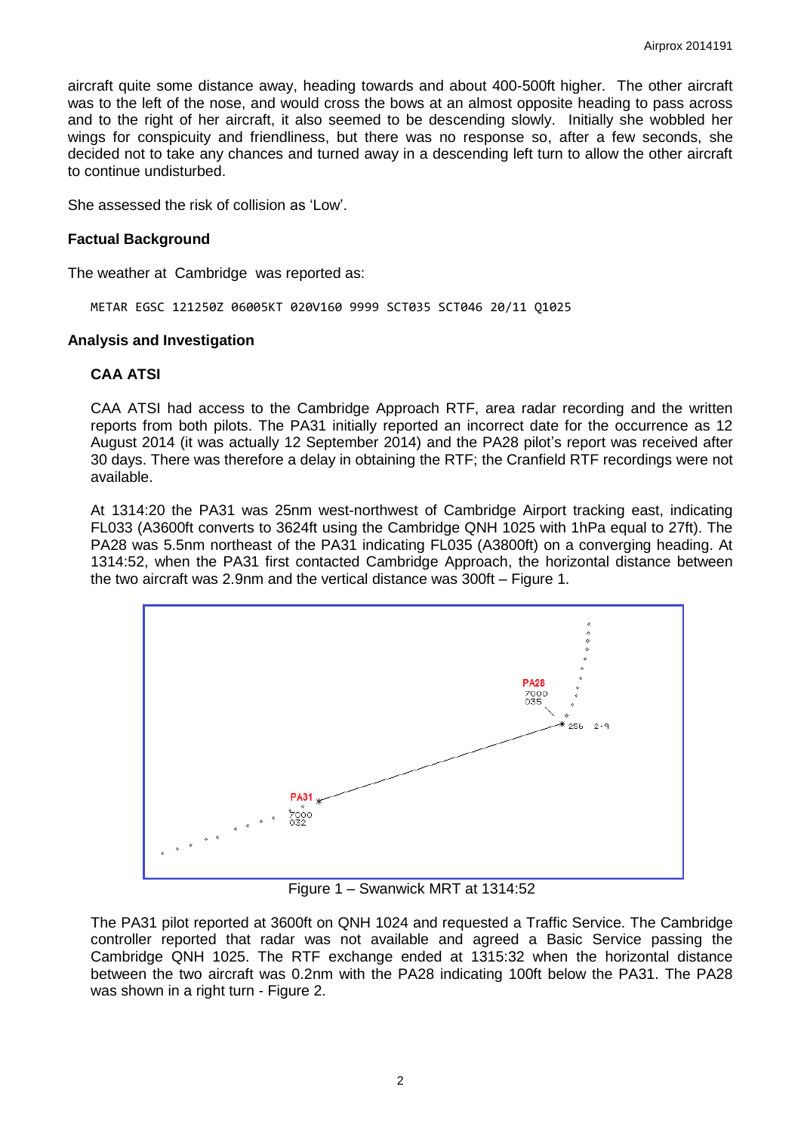aircraft quite some distance away, heading towards and about 400-500ft higher. The other aircraft was to the left of the nose, and would cross the bows at an almost opposite heading to pass across and to the right of her aircraft, it also seemed to be descending slowly. Initially she wobbled her wings for conspicuity and friendliness, but there was no response so, after a few seconds, she decided not to take any chances and turned away in a descending left turn to allow the other aircraft to continue undisturbed.

She assessed the risk of collision as 'Low'.

## **Factual Background**

The weather at Cambridge was reported as:

METAR EGSC 121250Z 06005KT 020V160 9999 SCT035 SCT046 20/11 Q1025

#### **Analysis and Investigation**

#### **CAA ATSI**

CAA ATSI had access to the Cambridge Approach RTF, area radar recording and the written reports from both pilots. The PA31 initially reported an incorrect date for the occurrence as 12 August 2014 (it was actually 12 September 2014) and the PA28 pilot's report was received after 30 days. There was therefore a delay in obtaining the RTF; the Cranfield RTF recordings were not available.

At 1314:20 the PA31 was 25nm west-northwest of Cambridge Airport tracking east, indicating FL033 (A3600ft converts to 3624ft using the Cambridge QNH 1025 with 1hPa equal to 27ft). The PA28 was 5.5nm northeast of the PA31 indicating FL035 (A3800ft) on a converging heading. At 1314:52, when the PA31 first contacted Cambridge Approach, the horizontal distance between the two aircraft was 2.9nm and the vertical distance was 300ft – Figure 1.



Figure 1 – Swanwick MRT at 1314:52

The PA31 pilot reported at 3600ft on QNH 1024 and requested a Traffic Service. The Cambridge controller reported that radar was not available and agreed a Basic Service passing the Cambridge QNH 1025. The RTF exchange ended at 1315:32 when the horizontal distance between the two aircraft was 0.2nm with the PA28 indicating 100ft below the PA31. The PA28 was shown in a right turn - Figure 2.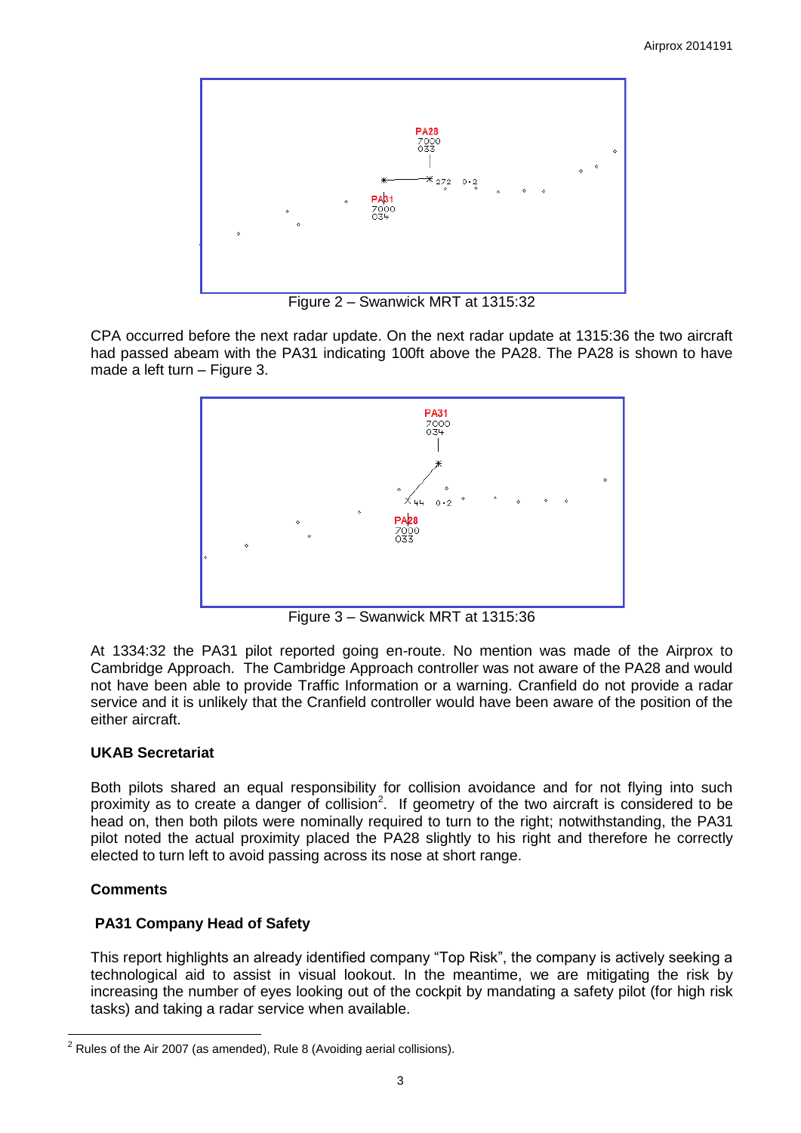

Figure 2 – Swanwick MRT at 1315:32

CPA occurred before the next radar update. On the next radar update at 1315:36 the two aircraft had passed abeam with the PA31 indicating 100ft above the PA28. The PA28 is shown to have made a left turn – Figure 3.



Figure 3 – Swanwick MRT at 1315:36

At 1334:32 the PA31 pilot reported going en-route. No mention was made of the Airprox to Cambridge Approach. The Cambridge Approach controller was not aware of the PA28 and would not have been able to provide Traffic Information or a warning. Cranfield do not provide a radar service and it is unlikely that the Cranfield controller would have been aware of the position of the either aircraft.

# **UKAB Secretariat**

Both pilots shared an equal responsibility for collision avoidance and for not flying into such proximity as to create a danger of collision<sup>2</sup>. If geometry of the two aircraft is considered to be head on, then both pilots were nominally required to turn to the right; notwithstanding, the PA31 pilot noted the actual proximity placed the PA28 slightly to his right and therefore he correctly elected to turn left to avoid passing across its nose at short range.

# **Comments**

# **PA31 Company Head of Safety**

This report highlights an already identified company "Top Risk", the company is actively seeking a technological aid to assist in visual lookout. In the meantime, we are mitigating the risk by increasing the number of eyes looking out of the cockpit by mandating a safety pilot (for high risk tasks) and taking a radar service when available.

 2 Rules of the Air 2007 (as amended), Rule 8 (Avoiding aerial collisions).